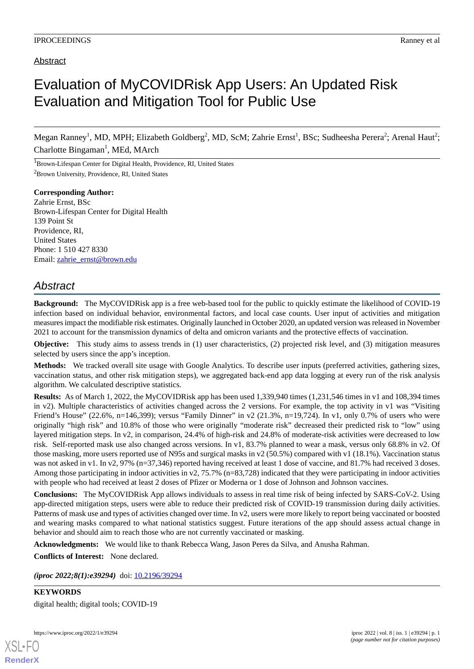## Abstract

## Evaluation of MyCOVIDRisk App Users: An Updated Risk Evaluation and Mitigation Tool for Public Use

Megan Ranney<sup>1</sup>, MD, MPH; Elizabeth Goldberg<sup>2</sup>, MD, ScM; Zahrie Ernst<sup>1</sup>, BSc; Sudheesha Perera<sup>2</sup>; Arenal Haut<sup>2</sup>; Charlotte Bingaman<sup>1</sup>, MEd, MArch

<sup>1</sup>Brown-Lifespan Center for Digital Health, Providence, RI, United States <sup>2</sup>Brown University, Providence, RI, United States

**Corresponding Author:** Zahrie Ernst, BSc Brown-Lifespan Center for Digital Health 139 Point St Providence, RI, United States Phone: 1 510 427 8330 Email: [zahrie\\_ernst@brown.edu](mailto:zahrie_ernst@brown.edu)

## *Abstract*

**Background:** The MyCOVIDRisk app is a free web-based tool for the public to quickly estimate the likelihood of COVID-19 infection based on individual behavior, environmental factors, and local case counts. User input of activities and mitigation measures impact the modifiable risk estimates. Originally launched in October 2020, an updated version was released in November 2021 to account for the transmission dynamics of delta and omicron variants and the protective effects of vaccination.

**Objective:** This study aims to assess trends in (1) user characteristics, (2) projected risk level, and (3) mitigation measures selected by users since the app's inception.

**Methods:** We tracked overall site usage with Google Analytics. To describe user inputs (preferred activities, gathering sizes, vaccination status, and other risk mitigation steps), we aggregated back-end app data logging at every run of the risk analysis algorithm. We calculated descriptive statistics.

**Results:** As of March 1, 2022, the MyCOVIDRisk app has been used 1,339,940 times (1,231,546 times in v1 and 108,394 times in v2). Multiple characteristics of activities changed across the 2 versions. For example, the top activity in v1 was "Visiting Friend's House" (22.6%, n=146,399); versus "Family Dinner" in v2 (21.3%, n=19,724). In v1, only 0.7% of users who were originally "high risk" and 10.8% of those who were originally "moderate risk" decreased their predicted risk to "low" using layered mitigation steps. In v2, in comparison, 24.4% of high-risk and 24.8% of moderate-risk activities were decreased to low risk. Self-reported mask use also changed across versions. In v1, 83.7% planned to wear a mask, versus only 68.8% in v2. Of those masking, more users reported use of N95s and surgical masks in v2 (50.5%) compared with v1 (18.1%). Vaccination status was not asked in v1. In v2, 97% (n=37,346) reported having received at least 1 dose of vaccine, and 81.7% had received 3 doses. Among those participating in indoor activities in v2, 75.7% ( $n=83,728$ ) indicated that they were participating in indoor activities with people who had received at least 2 doses of Pfizer or Moderna or 1 dose of Johnson and Johnson vaccines.

**Conclusions:** The MyCOVIDRisk App allows individuals to assess in real time risk of being infected by SARS-CoV-2. Using app-directed mitigation steps, users were able to reduce their predicted risk of COVID-19 transmission during daily activities. Patterns of mask use and types of activities changed over time. In v2, users were more likely to report being vaccinated or boosted and wearing masks compared to what national statistics suggest. Future iterations of the app should assess actual change in behavior and should aim to reach those who are not currently vaccinated or masking.

**Acknowledgments:** We would like to thank Rebecca Wang, Jason Peres da Silva, and Anusha Rahman.

**Conflicts of Interest:** None declared.

*(iproc 2022;8(1):e39294)* doi:  $10.2196/39294$ 

**KEYWORDS** digital health; digital tools; COVID-19

https://www.iproc.org/2022/1/e39294 iproc 2022 | vol. 8 | iss. 1 | e39294 | p. 1

[XSL](http://www.w3.org/Style/XSL)•FO **[RenderX](http://www.renderx.com/)**